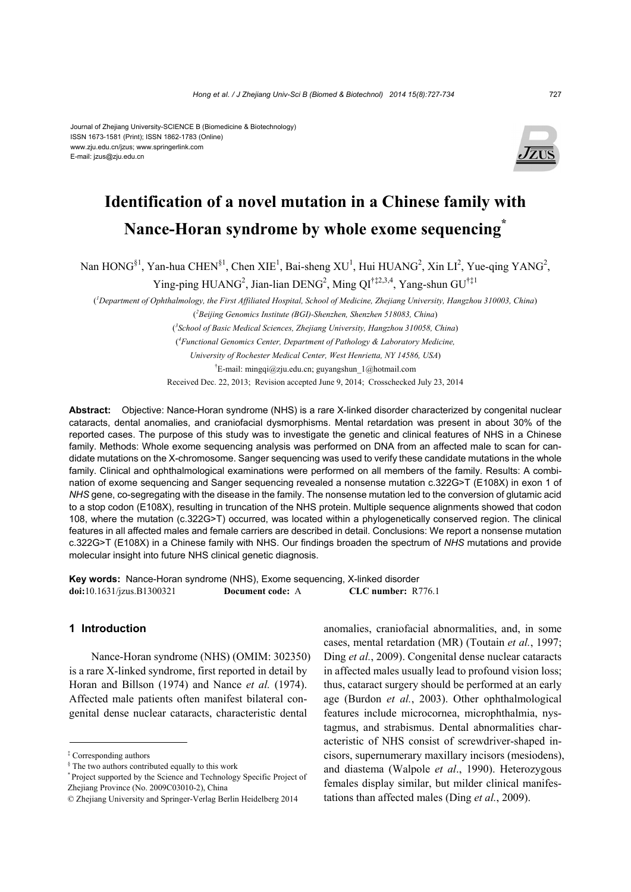#### Journal of Zhejiang University-SCIENCE B (Biomedicine & Biotechnology) ISSN 1673-1581 (Print); ISSN 1862-1783 (Online) www.zju.edu.cn/jzus; www.springerlink.com E-mail: jzus@zju.edu.cn



## **Identification of a novel mutation in a Chinese family with Nance-Horan syndrome by whole exome sequencing\***

Nan  $HONG<sup>§1</sup>$ , Yan-hua CHEN<sup>§1</sup>, Chen XIE<sup>1</sup>, Bai-sheng XU<sup>1</sup>, Hui HUANG<sup>2</sup>, Xin LI<sup>2</sup>, Yue-qing YANG<sup>2</sup>,

Ying-ping HUANG<sup>2</sup>, Jian-lian DENG<sup>2</sup>, Ming QI<sup>†‡2,3,4</sup>, Yang-shun GU<sup>†‡1</sup>

( *1 Department of Ophthalmology, the First Affiliated Hospital, School of Medicine, Zhejiang University, Hangzhou 310003, China*) ( *2 Beijing Genomics Institute (BGI)-Shenzhen, Shenzhen 518083, China*)

( *3 School of Basic Medical Sciences, Zhejiang University, Hangzhou 310058, China*)

( *4 Functional Genomics Center, Department of Pathology & Laboratory Medicine,* 

*University of Rochester Medical Center, West Henrietta, NY 14586, USA*)

† E-mail: mingqi@zju.edu.cn; guyangshun\_1@hotmail.com

Received Dec. 22, 2013; Revision accepted June 9, 2014; Crosschecked July 23, 2014

**Abstract:** Objective: Nance-Horan syndrome (NHS) is a rare X-linked disorder characterized by congenital nuclear cataracts, dental anomalies, and craniofacial dysmorphisms. Mental retardation was present in about 30% of the reported cases. The purpose of this study was to investigate the genetic and clinical features of NHS in a Chinese family. Methods: Whole exome sequencing analysis was performed on DNA from an affected male to scan for candidate mutations on the X-chromosome. Sanger sequencing was used to verify these candidate mutations in the whole family. Clinical and ophthalmological examinations were performed on all members of the family. Results: A combination of exome sequencing and Sanger sequencing revealed a nonsense mutation c.322G>T (E108X) in exon 1 of *NHS* gene, co-segregating with the disease in the family. The nonsense mutation led to the conversion of glutamic acid to a stop codon (E108X), resulting in truncation of the NHS protein. Multiple sequence alignments showed that codon 108, where the mutation (c.322G>T) occurred, was located within a phylogenetically conserved region. The clinical features in all affected males and female carriers are described in detail. Conclusions: We report a nonsense mutation c.322G>T (E108X) in a Chinese family with NHS. Our findings broaden the spectrum of *NHS* mutations and provide molecular insight into future NHS clinical genetic diagnosis.

**Key words:** Nance-Horan syndrome (NHS), Exome sequencing, X-linked disorder **doi:**10.1631/jzus.B1300321 **Document code:** A **CLC number:** R776.1

## **1 Introduction**

Nance-Horan syndrome (NHS) (OMIM: 302350) is a rare X-linked syndrome, first reported in detail by Horan and Billson (1974) and Nance *et al.* (1974). Affected male patients often manifest bilateral congenital dense nuclear cataracts, characteristic dental

anomalies, craniofacial abnormalities, and, in some cases, mental retardation (MR) (Toutain *et al.*, 1997; Ding *et al.*, 2009). Congenital dense nuclear cataracts in affected males usually lead to profound vision loss; thus, cataract surgery should be performed at an early age (Burdon *et al.*, 2003). Other ophthalmological features include microcornea, microphthalmia, nystagmus, and strabismus. Dental abnormalities characteristic of NHS consist of screwdriver-shaped incisors, supernumerary maxillary incisors (mesiodens), and diastema (Walpole *et al*., 1990). Heterozygous females display similar, but milder clinical manifestations than affected males (Ding *et al.*, 2009).

<sup>‡</sup> Corresponding authors

<sup>§</sup> The two authors contributed equally to this work

<sup>\*</sup> Project supported by the Science and Technology Specific Project of Zhejiang Province (No. 2009C03010-2), China

<sup>©</sup> Zhejiang University and Springer-Verlag Berlin Heidelberg 2014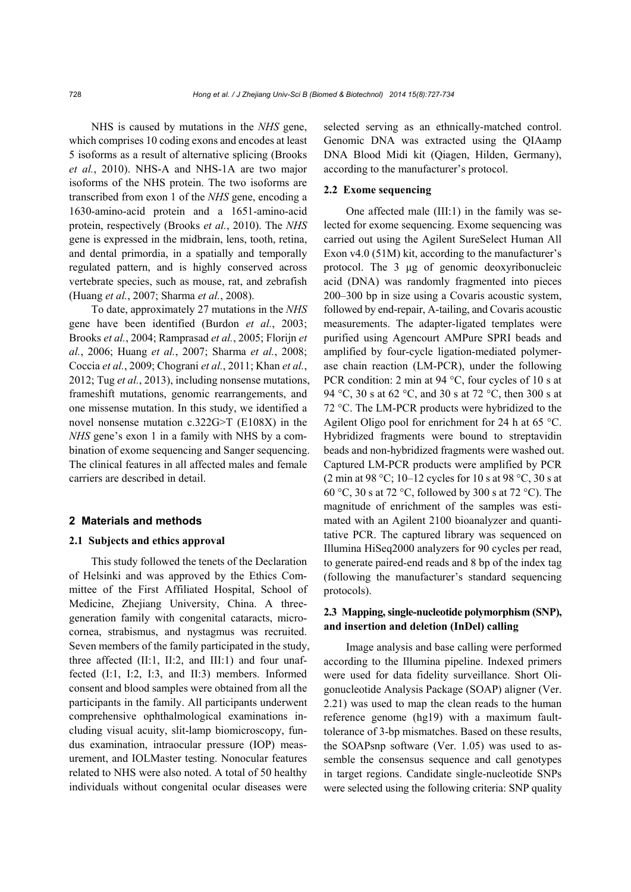NHS is caused by mutations in the *NHS* gene, which comprises 10 coding exons and encodes at least 5 isoforms as a result of alternative splicing (Brooks *et al.*, 2010). NHS-A and NHS-1A are two major isoforms of the NHS protein. The two isoforms are transcribed from exon 1 of the *NHS* gene, encoding a 1630-amino-acid protein and a 1651-amino-acid protein, respectively (Brooks *et al.*, 2010). The *NHS* gene is expressed in the midbrain, lens, tooth, retina, and dental primordia, in a spatially and temporally regulated pattern, and is highly conserved across vertebrate species, such as mouse, rat, and zebrafish (Huang *et al.*, 2007; Sharma *et al.*, 2008).

To date, approximately 27 mutations in the *NHS* gene have been identified (Burdon *et al.*, 2003; Brooks *et al.*, 2004; Ramprasad *et al.*, 2005; Florijn *et al.*, 2006; Huang *et al.*, 2007; Sharma *et al.*, 2008; Coccia *et al.*, 2009; Chograni *et al.*, 2011; Khan *et al.*, 2012; Tug *et al.*, 2013), including nonsense mutations, frameshift mutations, genomic rearrangements, and one missense mutation. In this study, we identified a novel nonsense mutation c.322G>T (E108X) in the *NHS* gene's exon 1 in a family with NHS by a combination of exome sequencing and Sanger sequencing. The clinical features in all affected males and female carriers are described in detail.

## **2 Materials and methods**

## **2.1 Subjects and ethics approval**

This study followed the tenets of the Declaration of Helsinki and was approved by the Ethics Committee of the First Affiliated Hospital, School of Medicine, Zhejiang University, China. A threegeneration family with congenital cataracts, microcornea, strabismus, and nystagmus was recruited. Seven members of the family participated in the study, three affected (II:1, II:2, and III:1) and four unaffected (I:1, I:2, I:3, and II:3) members. Informed consent and blood samples were obtained from all the participants in the family. All participants underwent comprehensive ophthalmological examinations including visual acuity, slit-lamp biomicroscopy, fundus examination, intraocular pressure (IOP) measurement, and IOLMaster testing. Nonocular features related to NHS were also noted. A total of 50 healthy individuals without congenital ocular diseases were

selected serving as an ethnically-matched control. Genomic DNA was extracted using the QIAamp DNA Blood Midi kit (Qiagen, Hilden, Germany), according to the manufacturer's protocol.

## **2.2 Exome sequencing**

One affected male (III:1) in the family was selected for exome sequencing. Exome sequencing was carried out using the Agilent SureSelect Human All Exon v4.0 (51M) kit, according to the manufacturer's protocol. The 3 μg of genomic deoxyribonucleic acid (DNA) was randomly fragmented into pieces 200–300 bp in size using a Covaris acoustic system, followed by end-repair, A-tailing, and Covaris acoustic measurements. The adapter-ligated templates were purified using Agencourt AMPure SPRI beads and amplified by four-cycle ligation-mediated polymerase chain reaction (LM-PCR), under the following PCR condition: 2 min at 94 °C, four cycles of 10 s at 94 °C, 30 s at 62 °C, and 30 s at 72 °C, then 300 s at 72 °C. The LM-PCR products were hybridized to the Agilent Oligo pool for enrichment for 24 h at 65 °C. Hybridized fragments were bound to streptavidin beads and non-hybridized fragments were washed out. Captured LM-PCR products were amplified by PCR (2 min at 98 °C; 10–12 cycles for 10 s at 98 °C, 30 s at 60 °C, 30 s at 72 °C, followed by 300 s at 72 °C). The magnitude of enrichment of the samples was estimated with an Agilent 2100 bioanalyzer and quantitative PCR. The captured library was sequenced on Illumina HiSeq2000 analyzers for 90 cycles per read, to generate paired-end reads and 8 bp of the index tag (following the manufacturer's standard sequencing protocols).

## **2.3 Mapping, single-nucleotide polymorphism (SNP), and insertion and deletion (InDel) calling**

Image analysis and base calling were performed according to the Illumina pipeline. Indexed primers were used for data fidelity surveillance. Short Oligonucleotide Analysis Package (SOAP) aligner (Ver. 2.21) was used to map the clean reads to the human reference genome (hg19) with a maximum faulttolerance of 3-bp mismatches. Based on these results, the SOAPsnp software (Ver. 1.05) was used to assemble the consensus sequence and call genotypes in target regions. Candidate single-nucleotide SNPs were selected using the following criteria: SNP quality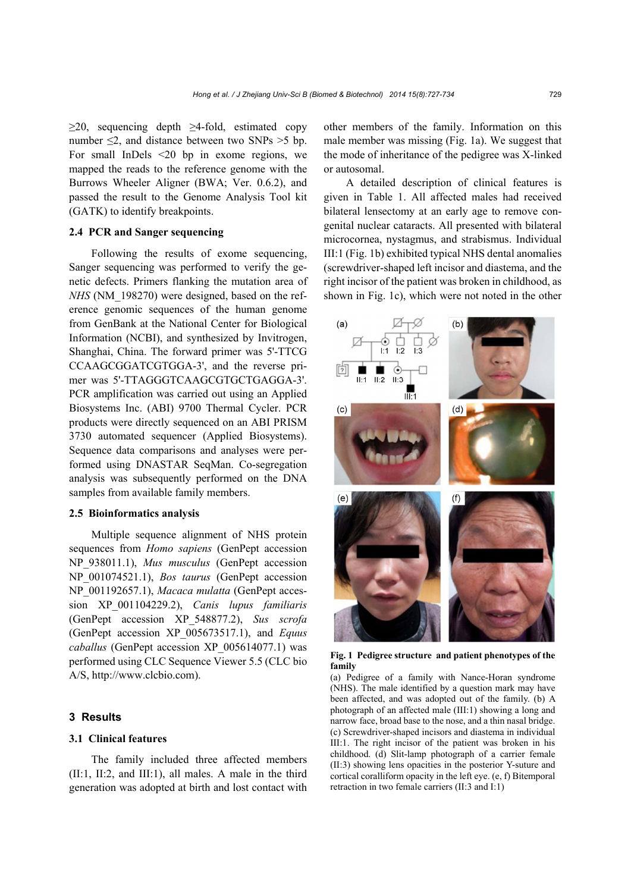$\geq$ 20, sequencing depth  $\geq$ 4-fold, estimated copy number  $\leq$ 2, and distance between two SNPs  $>$ 5 bp. For small InDels <20 bp in exome regions, we mapped the reads to the reference genome with the Burrows Wheeler Aligner (BWA; Ver. 0.6.2), and passed the result to the Genome Analysis Tool kit (GATK) to identify breakpoints.

## **2.4 PCR and Sanger sequencing**

Following the results of exome sequencing, Sanger sequencing was performed to verify the genetic defects. Primers flanking the mutation area of *NHS* (NM\_198270) were designed, based on the reference genomic sequences of the human genome from GenBank at the National Center for Biological Information (NCBI), and synthesized by Invitrogen, Shanghai, China. The forward primer was 5'-TTCG CCAAGCGGATCGTGGA-3', and the reverse primer was 5'-TTAGGGTCAAGCGTGCTGAGGA-3'. PCR amplification was carried out using an Applied Biosystems Inc. (ABI) 9700 Thermal Cycler. PCR products were directly sequenced on an ABI PRISM 3730 automated sequencer (Applied Biosystems). Sequence data comparisons and analyses were performed using DNASTAR SeqMan. Co-segregation analysis was subsequently performed on the DNA samples from available family members.

#### **2.5 Bioinformatics analysis**

Multiple sequence alignment of NHS protein sequences from *Homo sapiens* (GenPept accession NP\_938011.1), *Mus musculus* (GenPept accession NP\_001074521.1), *Bos taurus* (GenPept accession NP\_001192657.1), *Macaca mulatta* (GenPept accession XP\_001104229.2), *Canis lupus familiaris* (GenPept accession XP\_548877.2), *Sus scrofa* (GenPept accession XP\_005673517.1), and *Equus caballus* (GenPept accession XP\_005614077.1) was performed using CLC Sequence Viewer 5.5 (CLC bio A/S, http://www.clcbio.com).

## **3 Results**

## **3.1 Clinical features**

The family included three affected members (II:1, II:2, and III:1), all males. A male in the third generation was adopted at birth and lost contact with other members of the family. Information on this male member was missing (Fig. 1a). We suggest that the mode of inheritance of the pedigree was X-linked or autosomal.

A detailed description of clinical features is given in Table 1. All affected males had received bilateral lensectomy at an early age to remove congenital nuclear cataracts. All presented with bilateral microcornea, nystagmus, and strabismus. Individual III:1 (Fig. 1b) exhibited typical NHS dental anomalies (screwdriver-shaped left incisor and diastema, and the right incisor of the patient was broken in childhood, as shown in Fig. 1c), which were not noted in the other



**Fig. 1 Pedigree structure and patient phenotypes of the family** 

(a) Pedigree of a family with Nance-Horan syndrome (NHS). The male identified by a question mark may have been affected, and was adopted out of the family. (b) A photograph of an affected male (III:1) showing a long and narrow face, broad base to the nose, and a thin nasal bridge. (c) Screwdriver-shaped incisors and diastema in individual III:1. The right incisor of the patient was broken in his childhood. (d) Slit-lamp photograph of a carrier female (II:3) showing lens opacities in the posterior Y-suture and cortical coralliform opacity in the left eye. (e, f) Bitemporal retraction in two female carriers (II:3 and I:1)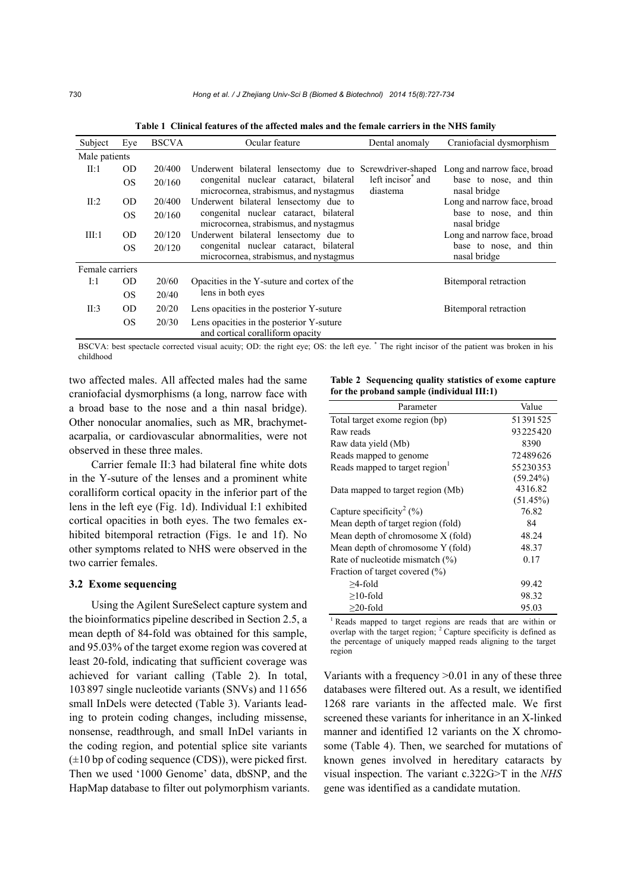| Subject         | Eye           | <b>BSCVA</b> | Ocular feature                                                                   | Dental anomaly                            | Craniofacial dysmorphism               |  |
|-----------------|---------------|--------------|----------------------------------------------------------------------------------|-------------------------------------------|----------------------------------------|--|
| Male patients   |               |              |                                                                                  |                                           |                                        |  |
| II:1            | <b>OD</b>     | 20/400       | Underwent bilateral lensectomy due to Screwdriver-shaped                         |                                           | Long and narrow face, broad            |  |
|                 | <sub>OS</sub> | 20/160       | congenital nuclear cataract, bilateral<br>microcornea, strabismus, and nystagmus | left incisor <sup>*</sup> and<br>diastema | base to nose, and thin<br>nasal bridge |  |
| II:2            | <b>OD</b>     | 20/400       | Underwent bilateral lensectomy due to                                            |                                           | Long and narrow face, broad            |  |
|                 | <sub>OS</sub> | 20/160       | congenital nuclear cataract, bilateral<br>microcornea, strabismus, and nystagmus |                                           | base to nose, and thin<br>nasal bridge |  |
| III:1           | OD.           | 20/120       | Underwent bilateral lensectomy due to                                            |                                           | Long and narrow face, broad            |  |
|                 | <sub>OS</sub> | 20/120       | congenital nuclear cataract, bilateral<br>microcornea, strabismus, and nystagmus |                                           | base to nose, and thin<br>nasal bridge |  |
| Female carriers |               |              |                                                                                  |                                           |                                        |  |
| I:1             | <b>OD</b>     | 20/60        | Opacities in the Y-suture and cortex of the                                      |                                           | Bitemporal retraction                  |  |
|                 | <sub>OS</sub> | 20/40        | lens in both eyes                                                                |                                           |                                        |  |
| II:3            | <b>OD</b>     | 20/20        | Lens opacities in the posterior Y-suture                                         |                                           | Bitemporal retraction                  |  |
|                 | <sub>OS</sub> | 20/30        | Lens opacities in the posterior Y-suture<br>and cortical coralliform opacity     |                                           |                                        |  |

**Table 1 Clinical features of the affected males and the female carriers in the NHS family** 

BSCVA: best spectacle corrected visual acuity; OD: the right eye; OS: the left eye. \* The right incisor of the patient was broken in his childhood

two affected males. All affected males had the same craniofacial dysmorphisms (a long, narrow face with a broad base to the nose and a thin nasal bridge). Other nonocular anomalies, such as MR, brachymetacarpalia, or cardiovascular abnormalities, were not observed in these three males.

Carrier female II:3 had bilateral fine white dots in the Y-suture of the lenses and a prominent white coralliform cortical opacity in the inferior part of the lens in the left eye (Fig. 1d). Individual I:1 exhibited cortical opacities in both eyes. The two females exhibited bitemporal retraction (Figs. 1e and 1f). No other symptoms related to NHS were observed in the two carrier females.

### **3.2 Exome sequencing**

Using the Agilent SureSelect capture system and the bioinformatics pipeline described in Section 2.5, a mean depth of 84-fold was obtained for this sample, and 95.03% of the target exome region was covered at least 20-fold, indicating that sufficient coverage was achieved for variant calling (Table 2). In total, 103897 single nucleotide variants (SNVs) and 11656 small InDels were detected (Table 3). Variants leading to protein coding changes, including missense, nonsense, readthrough, and small InDel variants in the coding region, and potential splice site variants  $(\pm 10$  bp of coding sequence (CDS)), were picked first. Then we used '1000 Genome' data, dbSNP, and the HapMap database to filter out polymorphism variants.

**Table 2 Sequencing quality statistics of exome capture for the proband sample (individual III:1)**

| Parameter                            | Value       |  |  |
|--------------------------------------|-------------|--|--|
| Total target exome region (bp)       | 51391525    |  |  |
| Raw reads                            | 93225420    |  |  |
| Raw data yield (Mb)                  | 8390        |  |  |
| Reads mapped to genome               | 72489626    |  |  |
| Reads mapped to target region        | 55230353    |  |  |
|                                      | $(59.24\%)$ |  |  |
| Data mapped to target region (Mb)    | 4316.82     |  |  |
|                                      | (51.45%)    |  |  |
| Capture specificity <sup>2</sup> (%) | 76.82       |  |  |
| Mean depth of target region (fold)   | 84          |  |  |
| Mean depth of chromosome X (fold)    | 48.24       |  |  |
| Mean depth of chromosome Y (fold)    | 48.37       |  |  |
| Rate of nucleotide mismatch $(\%)$   | 0.17        |  |  |
| Fraction of target covered (%)       |             |  |  |
| >4-fold                              | 99.42       |  |  |
| $\geq$ 10-fold                       | 98.32       |  |  |
| $>20$ -fold                          | 95.03       |  |  |

<sup>1</sup> Reads mapped to target regions are reads that are within or overlap with the target region; <sup>2</sup> Capture specificity is defined as the percentage of uniquely mapped reads aligning to the target region

Variants with a frequency  $>0.01$  in any of these three databases were filtered out. As a result, we identified 1268 rare variants in the affected male. We first screened these variants for inheritance in an X-linked manner and identified 12 variants on the X chromosome (Table 4). Then, we searched for mutations of known genes involved in hereditary cataracts by visual inspection. The variant c.322G>T in the *NHS* gene was identified as a candidate mutation.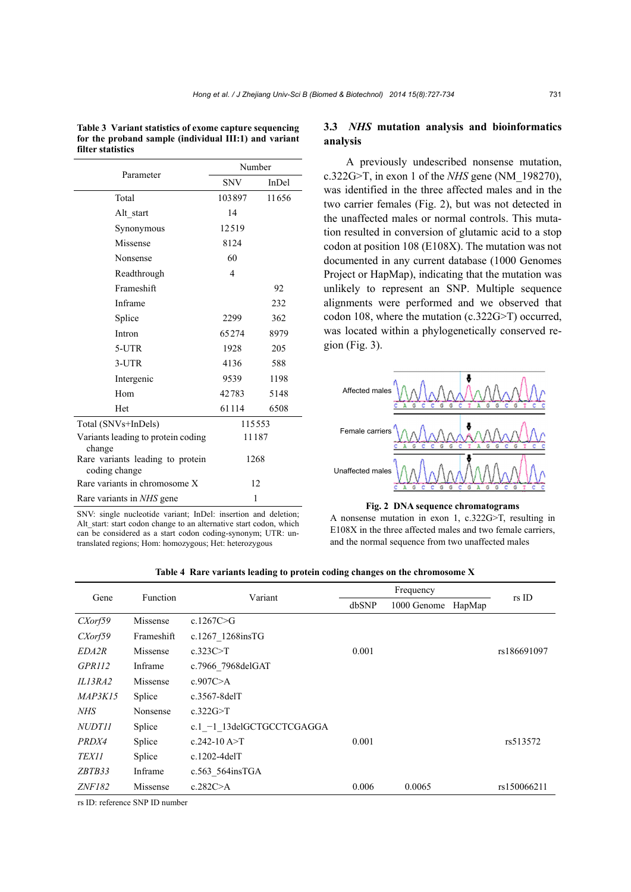| Parameter                                         | Number     |       |  |
|---------------------------------------------------|------------|-------|--|
|                                                   | <b>SNV</b> | InDel |  |
| Total                                             | 103897     | 11656 |  |
| Alt start                                         | 14         |       |  |
| Synonymous                                        | 12519      |       |  |
| Missense                                          | 8124       |       |  |
| Nonsense                                          | 60         |       |  |
| Readthrough                                       | 4          |       |  |
| Frameshift                                        |            | 92    |  |
| Inframe                                           |            | 232   |  |
| Splice                                            | 2299       | 362   |  |
| Intron                                            | 65274      | 8979  |  |
| 5-UTR                                             | 1928       | 205   |  |
| 3-UTR                                             | 4136       | 588   |  |
| Intergenic                                        | 9539       | 1198  |  |
| Hom                                               | 42783      | 5148  |  |
| Het                                               | 61114      | 6508  |  |
| Total (SNVs+InDels)                               | 115553     |       |  |
| Variants leading to protein coding<br>change      | 11187      |       |  |
| Rare variants leading to protein<br>coding change | 1268       |       |  |
| Rare variants in chromosome X                     | 12         |       |  |
| Rare variants in NHS gene                         | 1          |       |  |

**Table 3 Variant statistics of exome capture sequencing for the proband sample (individual III:1) and variant filter statistics** 

SNV: single nucleotide variant; InDel: insertion and deletion; Alt start: start codon change to an alternative start codon, which can be considered as a start codon coding-synonym; UTR: untranslated regions; Hom: homozygous; Het: heterozygous

## **3.3** *NHS* **mutation analysis and bioinformatics analysis**

A previously undescribed nonsense mutation, c.322G>T, in exon 1 of the *NHS* gene (NM\_198270), was identified in the three affected males and in the two carrier females (Fig. 2), but was not detected in the unaffected males or normal controls. This mutation resulted in conversion of glutamic acid to a stop codon at position 108 (E108X). The mutation was not documented in any current database (1000 Genomes Project or HapMap), indicating that the mutation was unlikely to represent an SNP. Multiple sequence alignments were performed and we observed that codon 108, where the mutation (c.322G>T) occurred, was located within a phylogenetically conserved region (Fig. 3).



#### **Fig. 2 DNA sequence chromatograms**

A nonsense mutation in exon 1, c.322G>T, resulting in E108X in the three affected males and two female carriers, and the normal sequence from two unaffected males

| Gene           | Function   | Variant                     | Frequency |             |        |             |
|----------------|------------|-----------------------------|-----------|-------------|--------|-------------|
|                |            |                             | dbSNP     | 1000 Genome | HapMap | rs ID       |
| CXorf59        | Missense   | c.1267C $\geq G$            |           |             |        |             |
| CXorf59        | Frameshift | c.1267 1268insTG            |           |             |        |             |
| <i>EDA2R</i>   | Missense   | c.323C>T                    | 0.001     |             |        | rs186691097 |
| <i>GPR112</i>  | Inframe    | c.7966 7968delGAT           |           |             |        |             |
| IL13RA2        | Missense   | c.907 $C > A$               |           |             |        |             |
| <b>MAP3K15</b> | Splice     | $c.3567-8$ del $T$          |           |             |        |             |
| NHS            | Nonsense   | $c.322G \rightarrow T$      |           |             |        |             |
| <i>NUDT11</i>  | Splice     | c.1 $-1$ 13delGCTGCCTCGAGGA |           |             |        |             |
| PRDX4          | Splice     | c.242-10 $A > T$            | 0.001     |             |        | rs513572    |
| <i>TEX11</i>   | Splice     | $c.1202-4$ del $T$          |           |             |        |             |
| ZBTB33         | Inframe    | $c.563$ 564insTGA           |           |             |        |             |
| ZNF182         | Missense   | c.282 $C \geq A$            | 0.006     | 0.0065      |        | rs150066211 |

**Table 4 Rare variants leading to protein coding changes on the chromosome X** 

rs ID: reference SNP ID number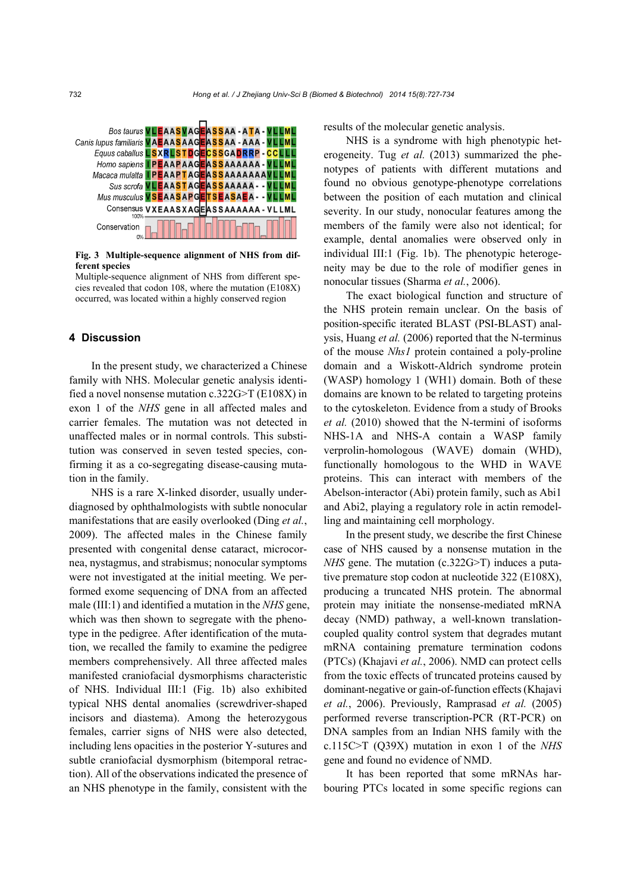

**Fig. 3 Multiple-sequence alignment of NHS from different species** 

Multiple-sequence alignment of NHS from different species revealed that codon 108, where the mutation (E108X) occurred, was located within a highly conserved region

#### **4 Discussion**

In the present study, we characterized a Chinese family with NHS. Molecular genetic analysis identified a novel nonsense mutation c.322G>T (E108X) in exon 1 of the *NHS* gene in all affected males and carrier females. The mutation was not detected in unaffected males or in normal controls. This substitution was conserved in seven tested species, confirming it as a co-segregating disease-causing mutation in the family.

NHS is a rare X-linked disorder, usually underdiagnosed by ophthalmologists with subtle nonocular manifestations that are easily overlooked (Ding *et al.*, 2009). The affected males in the Chinese family presented with congenital dense cataract, microcornea, nystagmus, and strabismus; nonocular symptoms were not investigated at the initial meeting. We performed exome sequencing of DNA from an affected male (III:1) and identified a mutation in the *NHS* gene, which was then shown to segregate with the phenotype in the pedigree. After identification of the mutation, we recalled the family to examine the pedigree members comprehensively. All three affected males manifested craniofacial dysmorphisms characteristic of NHS. Individual III:1 (Fig. 1b) also exhibited typical NHS dental anomalies (screwdriver-shaped incisors and diastema). Among the heterozygous females, carrier signs of NHS were also detected, including lens opacities in the posterior Y-sutures and subtle craniofacial dysmorphism (bitemporal retraction). All of the observations indicated the presence of an NHS phenotype in the family, consistent with the

results of the molecular genetic analysis.

NHS is a syndrome with high phenotypic heterogeneity. Tug *et al.* (2013) summarized the phenotypes of patients with different mutations and found no obvious genotype-phenotype correlations between the position of each mutation and clinical severity. In our study, nonocular features among the members of the family were also not identical; for example, dental anomalies were observed only in individual III:1 (Fig. 1b). The phenotypic heterogeneity may be due to the role of modifier genes in nonocular tissues (Sharma *et al.*, 2006).

The exact biological function and structure of the NHS protein remain unclear. On the basis of position-specific iterated BLAST (PSI-BLAST) analysis, Huang *et al.* (2006) reported that the N-terminus of the mouse *Nhs1* protein contained a poly-proline domain and a Wiskott-Aldrich syndrome protein (WASP) homology 1 (WH1) domain. Both of these domains are known to be related to targeting proteins to the cytoskeleton. Evidence from a study of Brooks *et al.* (2010) showed that the N-termini of isoforms NHS-1A and NHS-A contain a WASP family verprolin-homologous (WAVE) domain (WHD), functionally homologous to the WHD in WAVE proteins. This can interact with members of the Abelson-interactor (Abi) protein family, such as Abi1 and Abi2, playing a regulatory role in actin remodelling and maintaining cell morphology.

In the present study, we describe the first Chinese case of NHS caused by a nonsense mutation in the *NHS* gene. The mutation (c.322G>T) induces a putative premature stop codon at nucleotide 322 (E108X), producing a truncated NHS protein. The abnormal protein may initiate the nonsense-mediated mRNA decay (NMD) pathway, a well-known translationcoupled quality control system that degrades mutant mRNA containing premature termination codons (PTCs) (Khajavi *et al.*, 2006). NMD can protect cells from the toxic effects of truncated proteins caused by dominant-negative or gain-of-function effects (Khajavi *et al.*, 2006). Previously, Ramprasad *et al.* (2005) performed reverse transcription-PCR (RT-PCR) on DNA samples from an Indian NHS family with the c.115C>T (Q39X) mutation in exon 1 of the *NHS* gene and found no evidence of NMD.

It has been reported that some mRNAs harbouring PTCs located in some specific regions can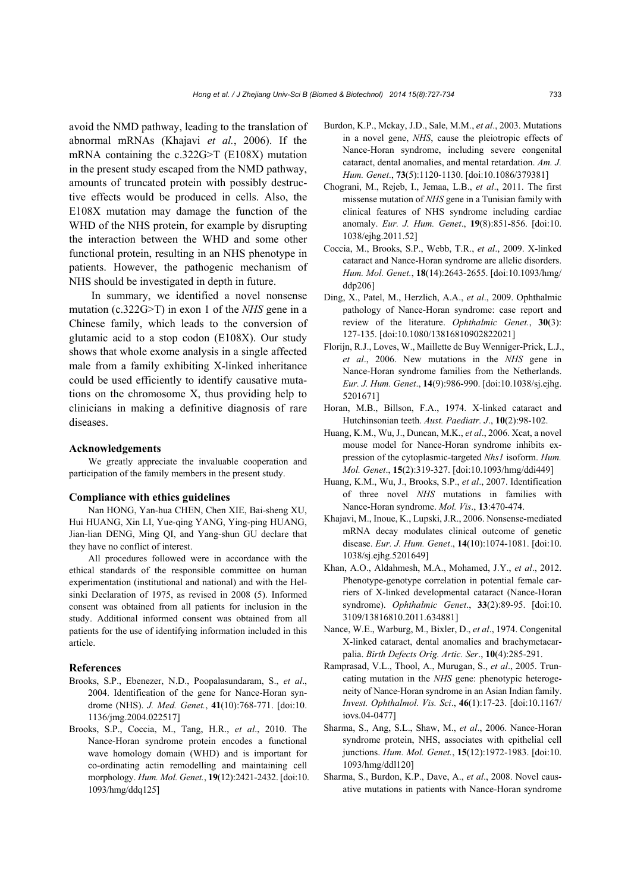avoid the NMD pathway, leading to the translation of abnormal mRNAs (Khajavi *et al.*, 2006). If the mRNA containing the c.322G>T (E108X) mutation in the present study escaped from the NMD pathway, amounts of truncated protein with possibly destructive effects would be produced in cells. Also, the E108X mutation may damage the function of the WHD of the NHS protein, for example by disrupting the interaction between the WHD and some other functional protein, resulting in an NHS phenotype in patients. However, the pathogenic mechanism of NHS should be investigated in depth in future.

In summary, we identified a novel nonsense mutation (c.322G>T) in exon 1 of the *NHS* gene in a Chinese family, which leads to the conversion of glutamic acid to a stop codon (E108X). Our study shows that whole exome analysis in a single affected male from a family exhibiting X-linked inheritance could be used efficiently to identify causative mutations on the chromosome X, thus providing help to clinicians in making a definitive diagnosis of rare diseases.

### **Acknowledgements**

We greatly appreciate the invaluable cooperation and participation of the family members in the present study.

#### **Compliance with ethics guidelines**

Nan HONG, Yan-hua CHEN, Chen XIE, Bai-sheng XU, Hui HUANG, Xin LI, Yue-qing YANG, Ying-ping HUANG, Jian-lian DENG, Ming QI, and Yang-shun GU declare that they have no conflict of interest.

All procedures followed were in accordance with the ethical standards of the responsible committee on human experimentation (institutional and national) and with the Helsinki Declaration of 1975, as revised in 2008 (5). Informed consent was obtained from all patients for inclusion in the study. Additional informed consent was obtained from all patients for the use of identifying information included in this article.

## **References**

- Brooks, S.P., Ebenezer, N.D., Poopalasundaram, S., *et al*., 2004. Identification of the gene for Nance-Horan syndrome (NHS). *J. Med. Genet.*, **41**(10):768-771. [doi:10. 1136/jmg.2004.022517]
- Brooks, S.P., Coccia, M., Tang, H.R., *et al*., 2010. The Nance-Horan syndrome protein encodes a functional wave homology domain (WHD) and is important for co-ordinating actin remodelling and maintaining cell morphology. *Hum. Mol. Genet.*, **19**(12):2421-2432. [doi:10. 1093/hmg/ddq125]
- Burdon, K.P., Mckay, J.D., Sale, M.M., *et al*., 2003. Mutations in a novel gene, *NHS*, cause the pleiotropic effects of Nance-Horan syndrome, including severe congenital cataract, dental anomalies, and mental retardation. *Am. J. Hum. Genet*., **73**(5):1120-1130. [doi:10.1086/379381]
- Chograni, M., Rejeb, I., Jemaa, L.B., *et al*., 2011. The first missense mutation of *NHS* gene in a Tunisian family with clinical features of NHS syndrome including cardiac anomaly. *Eur. J. Hum. Genet*., **19**(8):851-856. [doi:10. 1038/ejhg.2011.52]
- Coccia, M., Brooks, S.P., Webb, T.R., *et al*., 2009. X-linked cataract and Nance-Horan syndrome are allelic disorders. *Hum. Mol. Genet.*, **18**(14):2643-2655. [doi:10.1093/hmg/ ddp206]
- Ding, X., Patel, M., Herzlich, A.A., *et al*., 2009. Ophthalmic pathology of Nance-Horan syndrome: case report and review of the literature. *Ophthalmic Genet.*, **30**(3): 127-135. [doi:10.1080/13816810902822021]
- Florijn, R.J., Loves, W., Maillette de Buy Wenniger-Prick, L.J., *et al*., 2006. New mutations in the *NHS* gene in Nance-Horan syndrome families from the Netherlands. *Eur. J. Hum. Genet*., **14**(9):986-990. [doi:10.1038/sj.ejhg. 5201671]
- Horan, M.B., Billson, F.A., 1974. X-linked cataract and Hutchinsonian teeth. *Aust. Paediatr. J*., **10**(2):98-102.
- Huang, K.M., Wu, J., Duncan, M.K., *et al*., 2006. Xcat, a novel mouse model for Nance-Horan syndrome inhibits expression of the cytoplasmic-targeted *Nhs1* isoform. *Hum. Mol. Genet*., **15**(2):319-327. [doi:10.1093/hmg/ddi449]
- Huang, K.M., Wu, J., Brooks, S.P., *et al*., 2007. Identification of three novel *NHS* mutations in families with Nance-Horan syndrome. *Mol. Vis*., **13**:470-474.
- Khajavi, M., Inoue, K., Lupski, J.R., 2006. Nonsense-mediated mRNA decay modulates clinical outcome of genetic disease. *Eur. J. Hum. Genet*., **14**(10):1074-1081. [doi:10. 1038/sj.ejhg.5201649]
- Khan, A.O., Aldahmesh, M.A., Mohamed, J.Y., *et al*., 2012. Phenotype-genotype correlation in potential female carriers of X-linked developmental cataract (Nance-Horan syndrome). *Ophthalmic Genet*., **33**(2):89-95. [doi:10. 3109/13816810.2011.634881]
- Nance, W.E., Warburg, M., Bixler, D., *et al*., 1974. Congenital X-linked cataract, dental anomalies and brachymetacarpalia. *Birth Defects Orig. Artic. Ser*., **10**(4):285-291.
- Ramprasad, V.L., Thool, A., Murugan, S., *et al*., 2005. Truncating mutation in the *NHS* gene: phenotypic heterogeneity of Nance-Horan syndrome in an Asian Indian family. *Invest. Ophthalmol. Vis. Sci*., **46**(1):17-23. [doi:10.1167/ iovs.04-0477]
- Sharma, S., Ang, S.L., Shaw, M., *et al*., 2006. Nance-Horan syndrome protein, NHS, associates with epithelial cell junctions. *Hum. Mol. Genet.*, **15**(12):1972-1983. [doi:10. 1093/hmg/ddl120]
- Sharma, S., Burdon, K.P., Dave, A., *et al*., 2008. Novel causative mutations in patients with Nance-Horan syndrome